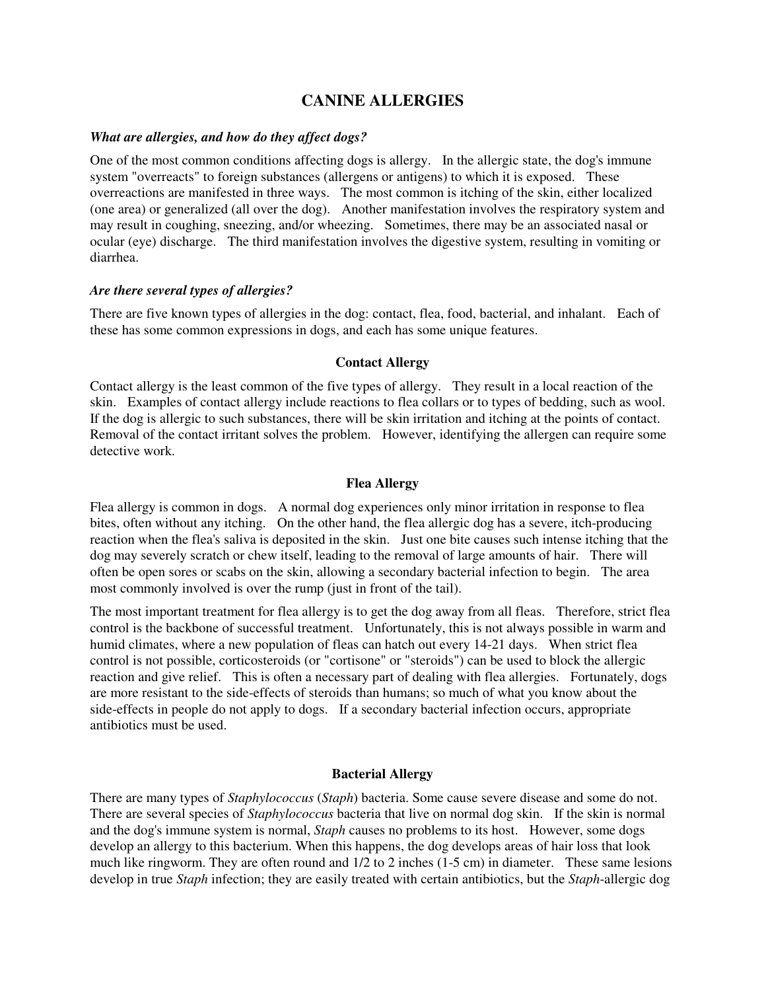# **CANINE ALLERGIES**

### *What are allergies, and how do they affect dogs?*

One of the most common conditions affecting dogs is allergy. In the allergic state, the dog's immune system "overreacts" to foreign substances (allergens or antigens) to which it is exposed. These overreactions are manifested in three ways. The most common is itching of the skin, either localized (one area) or generalized (all over the dog). Another manifestation involves the respiratory system and may result in coughing, sneezing, and/or wheezing. Sometimes, there may be an associated nasal or ocular (eye) discharge. The third manifestation involves the digestive system, resulting in vomiting or diarrhea.

#### *Are there several types of allergies?*

There are five known types of allergies in the dog: contact, flea, food, bacterial, and inhalant. Each of these has some common expressions in dogs, and each has some unique features.

### **Contact Allergy**

Contact allergy is the least common of the five types of allergy. They result in a local reaction of the skin. Examples of contact allergy include reactions to flea collars or to types of bedding, such as wool. If the dog is allergic to such substances, there will be skin irritation and itching at the points of contact. Removal of the contact irritant solves the problem. However, identifying the allergen can require some detective work.

#### **Flea Allergy**

Flea allergy is common in dogs. A normal dog experiences only minor irritation in response to flea bites, often without any itching. On the other hand, the flea allergic dog has a severe, itch-producing reaction when the flea's saliva is deposited in the skin. Just one bite causes such intense itching that the dog may severely scratch or chew itself, leading to the removal of large amounts of hair. There will often be open sores or scabs on the skin, allowing a secondary bacterial infection to begin. The area most commonly involved is over the rump (just in front of the tail).

The most important treatment for flea allergy is to get the dog away from all fleas. Therefore, strict flea control is the backbone of successful treatment. Unfortunately, this is not always possible in warm and humid climates, where a new population of fleas can hatch out every 14-21 days. When strict flea control is not possible, corticosteroids (or "cortisone" or "steroids") can be used to block the allergic reaction and give relief. This is often a necessary part of dealing with flea allergies. Fortunately, dogs are more resistant to the side-effects of steroids than humans; so much of what you know about the side-effects in people do not apply to dogs. If a secondary bacterial infection occurs, appropriate antibiotics must be used.

#### **Bacterial Allergy**

There are many types of *Staphylococcus* (*Staph*) bacteria. Some cause severe disease and some do not. There are several species of *Staphylococcus* bacteria that live on normal dog skin. If the skin is normal and the dog's immune system is normal, *Staph* causes no problems to its host. However, some dogs develop an allergy to this bacterium. When this happens, the dog develops areas of hair loss that look much like ringworm. They are often round and 1/2 to 2 inches (1-5 cm) in diameter. These same lesions develop in true *Staph* infection; they are easily treated with certain antibiotics, but the *Staph*-allergic dog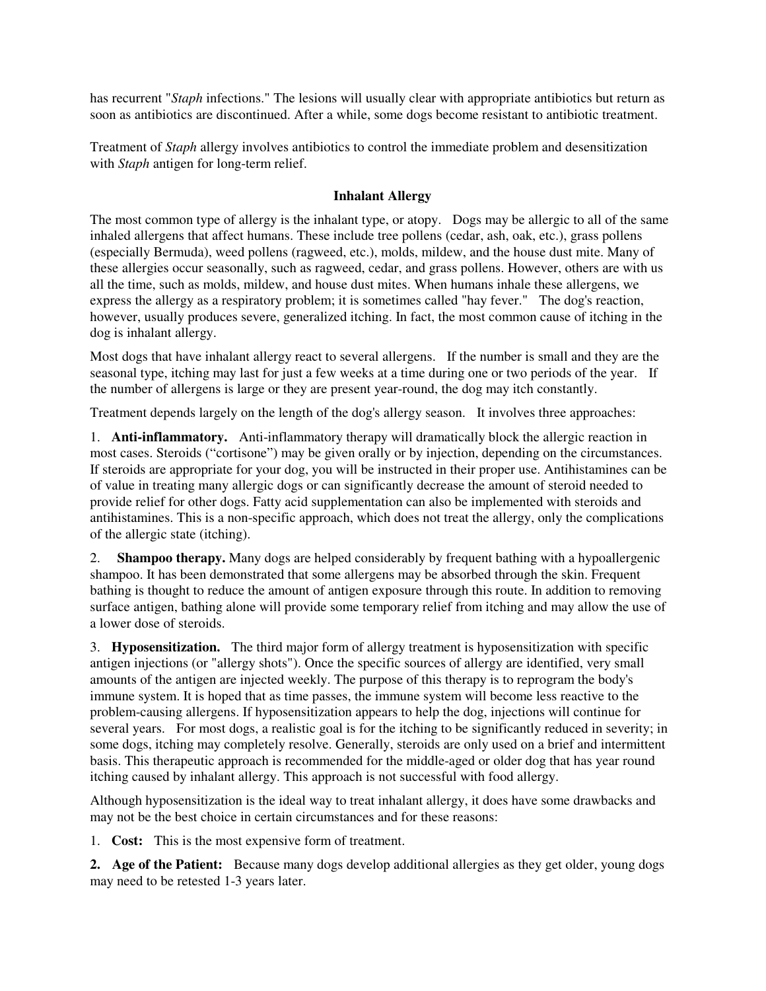has recurrent "*Staph* infections." The lesions will usually clear with appropriate antibiotics but return as soon as antibiotics are discontinued. After a while, some dogs become resistant to antibiotic treatment.

Treatment of *Staph* allergy involves antibiotics to control the immediate problem and desensitization with *Staph* antigen for long-term relief.

## **Inhalant Allergy**

The most common type of allergy is the inhalant type, or atopy. Dogs may be allergic to all of the same inhaled allergens that affect humans. These include tree pollens (cedar, ash, oak, etc.), grass pollens (especially Bermuda), weed pollens (ragweed, etc.), molds, mildew, and the house dust mite. Many of these allergies occur seasonally, such as ragweed, cedar, and grass pollens. However, others are with us all the time, such as molds, mildew, and house dust mites. When humans inhale these allergens, we express the allergy as a respiratory problem; it is sometimes called "hay fever." The dog's reaction, however, usually produces severe, generalized itching. In fact, the most common cause of itching in the dog is inhalant allergy.

Most dogs that have inhalant allergy react to several allergens. If the number is small and they are the seasonal type, itching may last for just a few weeks at a time during one or two periods of the year. If the number of allergens is large or they are present year-round, the dog may itch constantly.

Treatment depends largely on the length of the dog's allergy season. It involves three approaches:

1. **Anti-inflammatory.** Anti-inflammatory therapy will dramatically block the allergic reaction in most cases. Steroids ("cortisone") may be given orally or by injection, depending on the circumstances. If steroids are appropriate for your dog, you will be instructed in their proper use. Antihistamines can be of value in treating many allergic dogs or can significantly decrease the amount of steroid needed to provide relief for other dogs. Fatty acid supplementation can also be implemented with steroids and antihistamines. This is a non-specific approach, which does not treat the allergy, only the complications of the allergic state (itching).

2. **Shampoo therapy.** Many dogs are helped considerably by frequent bathing with a hypoallergenic shampoo. It has been demonstrated that some allergens may be absorbed through the skin. Frequent bathing is thought to reduce the amount of antigen exposure through this route. In addition to removing surface antigen, bathing alone will provide some temporary relief from itching and may allow the use of a lower dose of steroids.

3. **Hyposensitization.** The third major form of allergy treatment is hyposensitization with specific antigen injections (or "allergy shots"). Once the specific sources of allergy are identified, very small amounts of the antigen are injected weekly. The purpose of this therapy is to reprogram the body's immune system. It is hoped that as time passes, the immune system will become less reactive to the problem-causing allergens. If hyposensitization appears to help the dog, injections will continue for several years. For most dogs, a realistic goal is for the itching to be significantly reduced in severity; in some dogs, itching may completely resolve. Generally, steroids are only used on a brief and intermittent basis. This therapeutic approach is recommended for the middle-aged or older dog that has year round itching caused by inhalant allergy. This approach is not successful with food allergy.

Although hyposensitization is the ideal way to treat inhalant allergy, it does have some drawbacks and may not be the best choice in certain circumstances and for these reasons:

1. **Cost:** This is the most expensive form of treatment.

**2. Age of the Patient:** Because many dogs develop additional allergies as they get older, young dogs may need to be retested 1-3 years later.